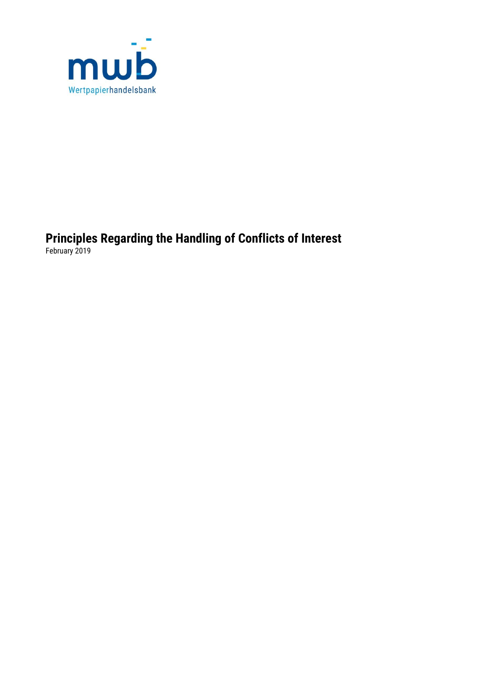

**Principles Regarding the Handling of Conflicts of Interest** February 2019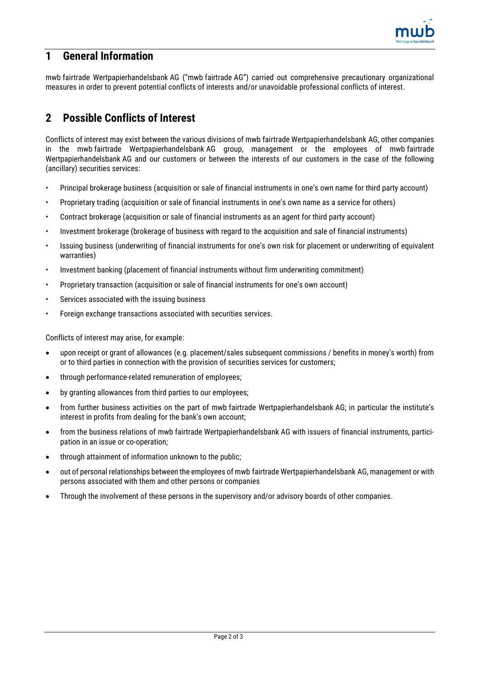

## **1 General Information**

mwb fairtrade Wertpapierhandelsbank AG ("mwb fairtrade AG") carried out comprehensive precautionary organizational measures in order to prevent potential conflicts of interests and/or unavoidable professional conflicts of interest.

## **2 Possible Conflicts of Interest**

Conflicts of interest may exist between the various divisions of mwb fairtrade Wertpapierhandelsbank AG, other companies in the mwb fairtrade Wertpapierhandelsbank AG group, management or the employees of mwb fairtrade Wertpapierhandelsbank AG and our customers or between the interests of our customers in the case of the following (ancillary) securities services:

- Principal brokerage business (acquisition or sale of financial instruments in one's own name for third party account)
- Proprietary trading (acquisition or sale of financial instruments in one's own name as a service for others)
- Contract brokerage (acquisition or sale of financial instruments as an agent for third party account)
- Investment brokerage (brokerage of business with regard to the acquisition and sale of financial instruments)
- Issuing business (underwriting of financial instruments for one's own risk for placement or underwriting of equivalent warranties)
- Investment banking (placement of financial instruments without firm underwriting commitment)
- Proprietary transaction (acquisition or sale of financial instruments for one's own account)
- Services associated with the issuing business
- Foreign exchange transactions associated with securities services.

Conflicts of interest may arise, for example:

- upon receipt or grant of allowances (e.g. placement/sales subsequent commissions / benefits in money's worth) from or to third parties in connection with the provision of securities services for customers;
- through performance-related remuneration of employees;
- by granting allowances from third parties to our employees;
- from further business activities on the part of mwb fairtrade Wertpapierhandelsbank AG; in particular the institute's interest in profits from dealing for the bank's own account;
- from the business relations of mwb fairtrade Wertpapierhandelsbank AG with issuers of financial instruments, participation in an issue or co-operation;
- through attainment of information unknown to the public;
- out of personal relationships between the employees of mwb fairtrade Wertpapierhandelsbank AG, management or with persons associated with them and other persons or companies
- Through the involvement of these persons in the supervisory and/or advisory boards of other companies.